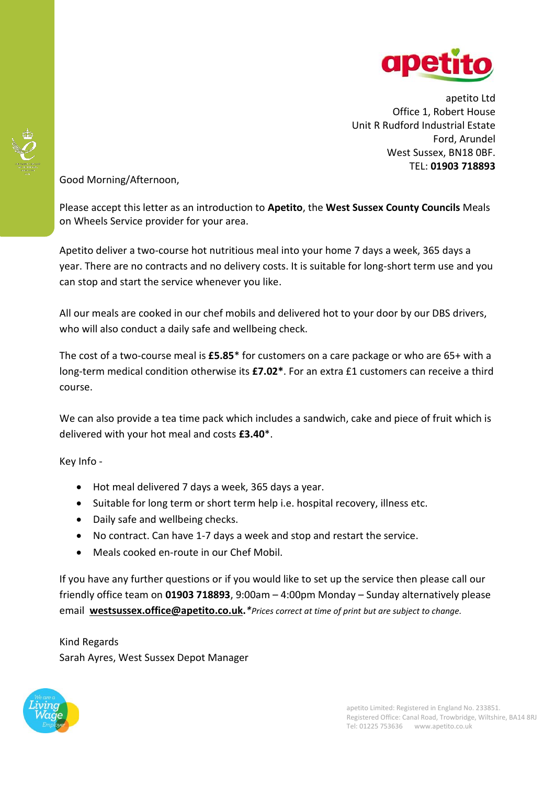

apetito Ltd Office 1, Robert House Unit R Rudford Industrial Estate Ford, Arundel West Sussex, BN18 0BF. TEL: **01903 718893**

Good Morning/Afternoon,

Please accept this letter as an introduction to **Apetito**, the **West Sussex County Councils** Meals on Wheels Service provider for your area.

Apetito deliver a two-course hot nutritious meal into your home 7 days a week, 365 days a year. There are no contracts and no delivery costs. It is suitable for long-short term use and you can stop and start the service whenever you like.

All our meals are cooked in our chef mobils and delivered hot to your door by our DBS drivers, who will also conduct a daily safe and wellbeing check.

The cost of a two-course meal is **£5.85**\* for customers on a care package or who are 65+ with a long-term medical condition otherwise its **£7.02\***. For an extra £1 customers can receive a third course.

We can also provide a tea time pack which includes a sandwich, cake and piece of fruit which is delivered with your hot meal and costs **£3.40**\*.

Key Info -

- Hot meal delivered 7 days a week, 365 days a year.
- Suitable for long term or short term help i.e. hospital recovery, illness etc.
- Daily safe and wellbeing checks.
- No contract. Can have 1-7 days a week and stop and restart the service.
- Meals cooked en-route in our Chef Mobil.

If you have any further questions or if you would like to set up the service then please call our friendly office team on **01903 718893**, 9:00am – 4:00pm Monday – Sunday alternatively please email **[westsussex.office@apetito.co.uk.](mailto:westsussex.office@apetito.co.uk)***\*Prices correct at time of print but are subject to change.* 

Kind Regards Sarah Ayres, West Sussex Depot Manager

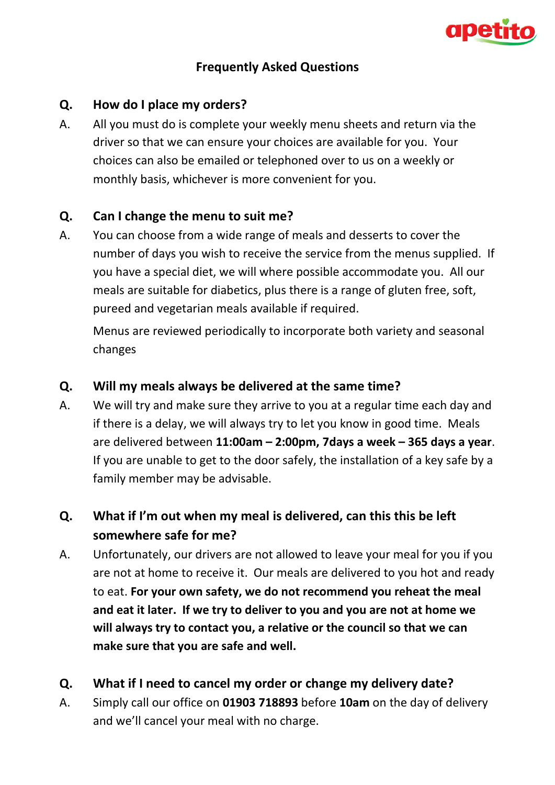

## **Frequently Asked Questions**

### **Q. How do I place my orders?**

A. All you must do is complete your weekly menu sheets and return via the driver so that we can ensure your choices are available for you. Your choices can also be emailed or telephoned over to us on a weekly or monthly basis, whichever is more convenient for you.

## **Q. Can I change the menu to suit me?**

A. You can choose from a wide range of meals and desserts to cover the number of days you wish to receive the service from the menus supplied. If you have a special diet, we will where possible accommodate you. All our meals are suitable for diabetics, plus there is a range of gluten free, soft, pureed and vegetarian meals available if required.

Menus are reviewed periodically to incorporate both variety and seasonal changes

#### **Q. Will my meals always be delivered at the same time?**

A. We will try and make sure they arrive to you at a regular time each day and if there is a delay, we will always try to let you know in good time. Meals are delivered between **11:00am – 2:00pm, 7days a week – 365 days a year**. If you are unable to get to the door safely, the installation of a key safe by a family member may be advisable.

# **Q. What if I'm out when my meal is delivered, can this this be left somewhere safe for me?**

A. Unfortunately, our drivers are not allowed to leave your meal for you if you are not at home to receive it. Our meals are delivered to you hot and ready to eat. **For your own safety, we do not recommend you reheat the meal and eat it later. If we try to deliver to you and you are not at home we will always try to contact you, a relative or the council so that we can make sure that you are safe and well.**

## **Q. What if I need to cancel my order or change my delivery date?**

A. Simply call our office on **01903 718893** before **10am** on the day of delivery and we'll cancel your meal with no charge.